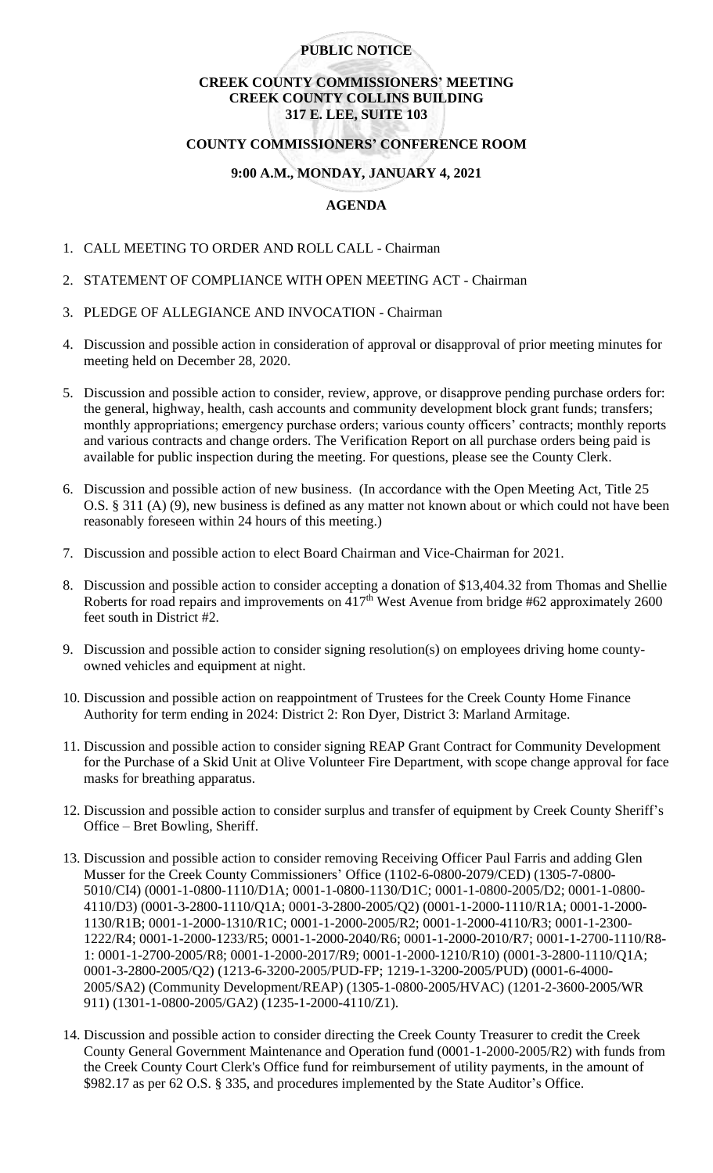### **PUBLIC NOTICE**

### **CREEK COUNTY COMMISSIONERS' MEETING CREEK COUNTY COLLINS BUILDING 317 E. LEE, SUITE 103**

#### **COUNTY COMMISSIONERS' CONFERENCE ROOM**

# **9:00 A.M., MONDAY, JANUARY 4, 2021**

# **AGENDA**

- 1. CALL MEETING TO ORDER AND ROLL CALL Chairman
- 2. STATEMENT OF COMPLIANCE WITH OPEN MEETING ACT Chairman
- 3. PLEDGE OF ALLEGIANCE AND INVOCATION Chairman
- 4. Discussion and possible action in consideration of approval or disapproval of prior meeting minutes for meeting held on December 28, 2020.
- 5. Discussion and possible action to consider, review, approve, or disapprove pending purchase orders for: the general, highway, health, cash accounts and community development block grant funds; transfers; monthly appropriations; emergency purchase orders; various county officers' contracts; monthly reports and various contracts and change orders. The Verification Report on all purchase orders being paid is available for public inspection during the meeting. For questions, please see the County Clerk.
- 6. Discussion and possible action of new business. (In accordance with the Open Meeting Act, Title 25 O.S. § 311 (A) (9), new business is defined as any matter not known about or which could not have been reasonably foreseen within 24 hours of this meeting.)
- 7. Discussion and possible action to elect Board Chairman and Vice-Chairman for 2021.
- 8. Discussion and possible action to consider accepting a donation of \$13,404.32 from Thomas and Shellie Roberts for road repairs and improvements on  $417<sup>th</sup>$  West Avenue from bridge #62 approximately 2600 feet south in District #2.
- 9. Discussion and possible action to consider signing resolution(s) on employees driving home countyowned vehicles and equipment at night.
- 10. Discussion and possible action on reappointment of Trustees for the Creek County Home Finance Authority for term ending in 2024: District 2: Ron Dyer, District 3: Marland Armitage.
- 11. Discussion and possible action to consider signing REAP Grant Contract for Community Development for the Purchase of a Skid Unit at Olive Volunteer Fire Department, with scope change approval for face masks for breathing apparatus.
- 12. Discussion and possible action to consider surplus and transfer of equipment by Creek County Sheriff's Office – Bret Bowling, Sheriff.
- 13. Discussion and possible action to consider removing Receiving Officer Paul Farris and adding Glen Musser for the Creek County Commissioners' Office (1102-6-0800-2079/CED) (1305-7-0800- 5010/CI4) (0001-1-0800-1110/D1A; 0001-1-0800-1130/D1C; 0001-1-0800-2005/D2; 0001-1-0800- 4110/D3) (0001-3-2800-1110/Q1A; 0001-3-2800-2005/Q2) (0001-1-2000-1110/R1A; 0001-1-2000- 1130/R1B; 0001-1-2000-1310/R1C; 0001-1-2000-2005/R2; 0001-1-2000-4110/R3; 0001-1-2300- 1222/R4; 0001-1-2000-1233/R5; 0001-1-2000-2040/R6; 0001-1-2000-2010/R7; 0001-1-2700-1110/R8- 1: 0001-1-2700-2005/R8; 0001-1-2000-2017/R9; 0001-1-2000-1210/R10) (0001-3-2800-1110/Q1A; 0001-3-2800-2005/Q2) (1213-6-3200-2005/PUD-FP; 1219-1-3200-2005/PUD) (0001-6-4000- 2005/SA2) (Community Development/REAP) (1305-1-0800-2005/HVAC) (1201-2-3600-2005/WR 911) (1301-1-0800-2005/GA2) (1235-1-2000-4110/Z1).
- 14. Discussion and possible action to consider directing the Creek County Treasurer to credit the Creek County General Government Maintenance and Operation fund (0001-1-2000-2005/R2) with funds from the Creek County Court Clerk's Office fund for reimbursement of utility payments, in the amount of \$982.17 as per 62 O.S. § 335, and procedures implemented by the State Auditor's Office.